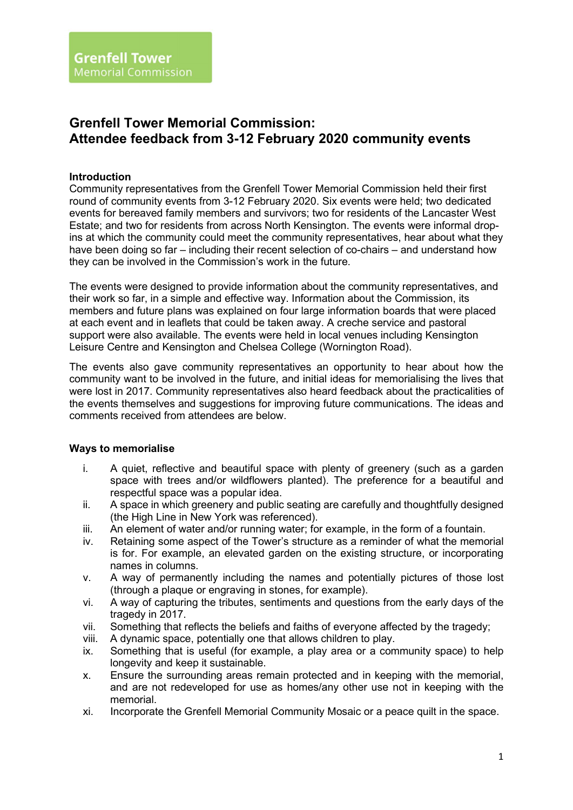# Grenfell Tower Memorial Commission: Attendee feedback from 3-12 February 2020 community events

# **Introduction**

Community representatives from the Grenfell Tower Memorial Commission held their first round of community events from 3-12 February 2020. Six events were held; two dedicated events for bereaved family members and survivors; two for residents of the Lancaster West Estate; and two for residents from across North Kensington. The events were informal dropins at which the community could meet the community representatives, hear about what they have been doing so far – including their recent selection of co-chairs – and understand how they can be involved in the Commission's work in the future.

The events were designed to provide information about the community representatives, and their work so far, in a simple and effective way. Information about the Commission, its members and future plans was explained on four large information boards that were placed at each event and in leaflets that could be taken away. A creche service and pastoral support were also available. The events were held in local venues including Kensington Leisure Centre and Kensington and Chelsea College (Wornington Road).

The events also gave community representatives an opportunity to hear about how the community want to be involved in the future, and initial ideas for memorialising the lives that were lost in 2017. Community representatives also heard feedback about the practicalities of the events themselves and suggestions for improving future communications. The ideas and comments received from attendees are below.

# Ways to memorialise

- i. A quiet, reflective and beautiful space with plenty of greenery (such as a garden space with trees and/or wildflowers planted). The preference for a beautiful and respectful space was a popular idea.
- ii. A space in which greenery and public seating are carefully and thoughtfully designed (the High Line in New York was referenced).
- iii. An element of water and/or running water; for example, in the form of a fountain.
- iv. Retaining some aspect of the Tower's structure as a reminder of what the memorial is for. For example, an elevated garden on the existing structure, or incorporating names in columns.
- v. A way of permanently including the names and potentially pictures of those lost (through a plaque or engraving in stones, for example).
- vi. A way of capturing the tributes, sentiments and questions from the early days of the tragedy in 2017.
- vii. Something that reflects the beliefs and faiths of everyone affected by the tragedy;
- viii. A dynamic space, potentially one that allows children to play.
- ix. Something that is useful (for example, a play area or a community space) to help longevity and keep it sustainable.
- x. Ensure the surrounding areas remain protected and in keeping with the memorial, and are not redeveloped for use as homes/any other use not in keeping with the memorial.
- xi. Incorporate the Grenfell Memorial Community Mosaic or a peace quilt in the space.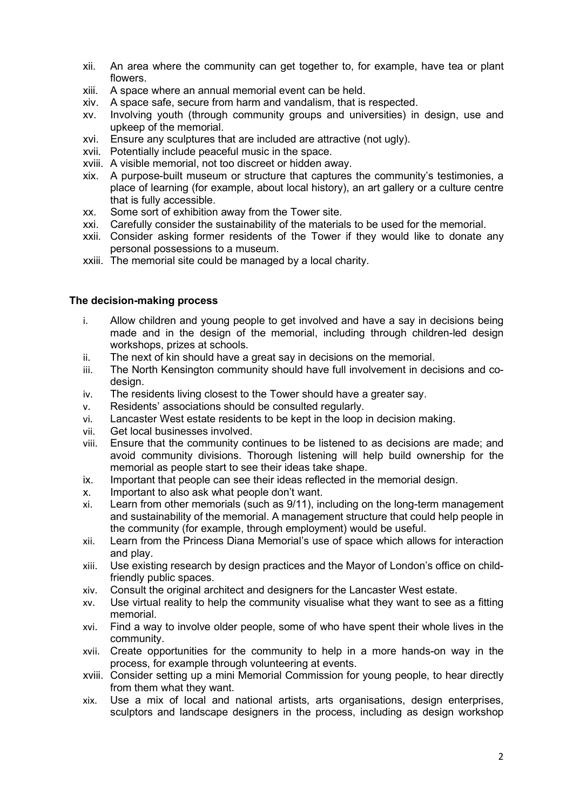- xii. An area where the community can get together to, for example, have tea or plant flowers.
- xiii. A space where an annual memorial event can be held.
- xiv. A space safe, secure from harm and vandalism, that is respected.
- xv. Involving youth (through community groups and universities) in design, use and upkeep of the memorial.
- xvi. Ensure any sculptures that are included are attractive (not ugly).
- xvii. Potentially include peaceful music in the space.
- xviii. A visible memorial, not too discreet or hidden away.
- xix. A purpose-built museum or structure that captures the community's testimonies, a place of learning (for example, about local history), an art gallery or a culture centre that is fully accessible.
- xx. Some sort of exhibition away from the Tower site.
- xxi. Carefully consider the sustainability of the materials to be used for the memorial.
- xxii. Consider asking former residents of the Tower if they would like to donate any personal possessions to a museum.
- xxiii. The memorial site could be managed by a local charity.

# The decision-making process

- i. Allow children and young people to get involved and have a say in decisions being made and in the design of the memorial, including through children-led design workshops, prizes at schools.
- ii. The next of kin should have a great say in decisions on the memorial.
- iii. The North Kensington community should have full involvement in decisions and codesign.
- iv. The residents living closest to the Tower should have a greater say.
- v. Residents' associations should be consulted regularly.
- vi. Lancaster West estate residents to be kept in the loop in decision making.
- vii. Get local businesses involved.
- viii. Ensure that the community continues to be listened to as decisions are made; and avoid community divisions. Thorough listening will help build ownership for the memorial as people start to see their ideas take shape.
- ix. Important that people can see their ideas reflected in the memorial design.
- x. Important to also ask what people don't want.
- xi. Learn from other memorials (such as 9/11), including on the long-term management and sustainability of the memorial. A management structure that could help people in the community (for example, through employment) would be useful.
- xii. Learn from the Princess Diana Memorial's use of space which allows for interaction and play.
- xiii. Use existing research by design practices and the Mayor of London's office on childfriendly public spaces.
- xiv. Consult the original architect and designers for the Lancaster West estate.
- xv. Use virtual reality to help the community visualise what they want to see as a fitting memorial.
- xvi. Find a way to involve older people, some of who have spent their whole lives in the community.
- xvii. Create opportunities for the community to help in a more hands-on way in the process, for example through volunteering at events.
- xviii. Consider setting up a mini Memorial Commission for young people, to hear directly from them what they want.
- xix. Use a mix of local and national artists, arts organisations, design enterprises, sculptors and landscape designers in the process, including as design workshop